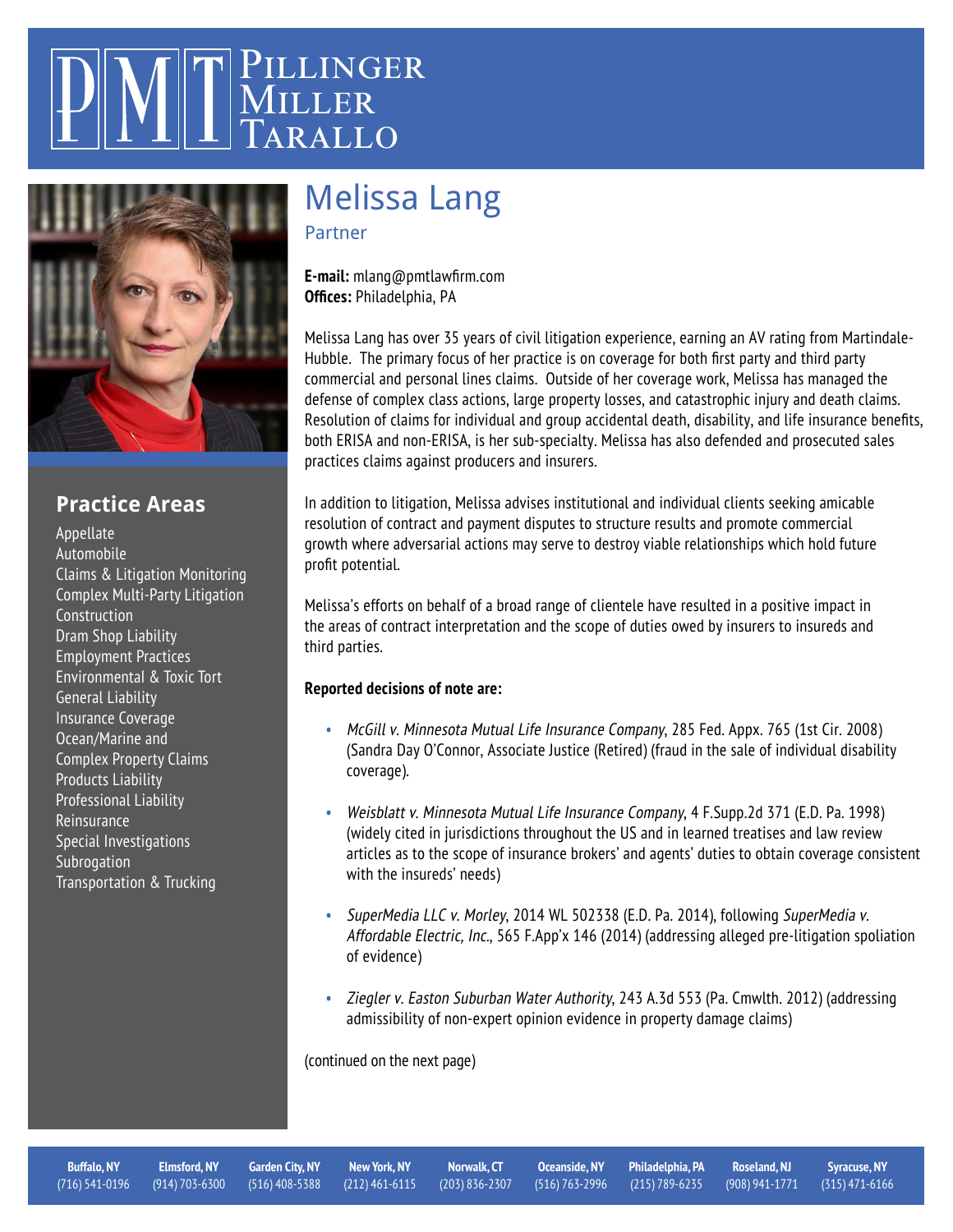## <sup>J</sup>ILLINGER MILLER  $RATLO$



### **Practice Areas**

[Appellate](https://pmtlawfirm.com/practice-areas/appellate) [Automobile](https://pmtlawfirm.com/practice-areas/automobile/) [Claims & Litigation Monitoring](https://pmtlawfirm.com/practice-areas/claims-litigation-monitoring/) [Complex Multi-Party Litigation](https://pmtlawfirm.com/practice-areas/complex-multi-party-litigation/) [Construction](https://pmtlawfirm.com/practice-areas/construction/) **[Dram Shop Liability](https://pmtlawfirm.com/practice-areas/dram-shop-liability/)** [Employment Practices](https://pmtlawfirm.com/practice-areas/employment-practices/) [Environmental & Toxic Tort](https://pmtlawfirm.com/practice-areas/environmental-and-toxic-tort/) [General Liability](https://pmtlawfirm.com/practice-areas/general-liability/) [Insurance Coverage](https://pmtlawfirm.com/practice-areas/insurance-coverage/) [Ocean/Marine and](https://pmtlawfirm.com/practice-areas/ocean-marine-and-complex-property-claims/)  [Complex Property Claims](https://pmtlawfirm.com/practice-areas/ocean-marine-and-complex-property-claims/)  [Products Liability](https://pmtlawfirm.com/practice-areas/products-liability/) [Professional Liability](https://pmtlawfirm.com/practice-areas/professional-liability/) [Reinsurance](https://pmtlawfirm.com/practice-areas/reinsurance/) [Special Investigations](https://pmtlawfirm.com/practice-areas/special-investigations/) **[Subrogation](https://pmtlawfirm.com/practice-areas/subrogation/)** [Transportation & Trucking](https://pmtlawfirm.com/practice-areas/transportation-trucking/)

# [Melissa Lang](https://pmtlawfirm.com/attorneys/lang-melissa/)

Partner

**E-mail:** mlang@pmtlawfirm.com **Offices:** [Philadelphia, PA](https://pmtlawfirm.com/philadelphia-pa-office/)

Melissa Lang has over 35 years of civil litigation experience, earning an AV rating from Martindale-Hubble. The primary focus of her practice is on coverage for both first party and third party commercial and personal lines claims. Outside of her coverage work, Melissa has managed the defense of complex class actions, large property losses, and catastrophic injury and death claims. Resolution of claims for individual and group accidental death, disability, and life insurance benefits, both ERISA and non-ERISA, is her sub-specialty. Melissa has also defended and prosecuted sales practices claims against producers and insurers.

In addition to litigation, Melissa advises institutional and individual clients seeking amicable resolution of contract and payment disputes to structure results and promote commercial growth where adversarial actions may serve to destroy viable relationships which hold future profit potential.

Melissa's efforts on behalf of a broad range of clientele have resulted in a positive impact in the areas of contract interpretation and the scope of duties owed by insurers to insureds and third parties.

#### **Reported decisions of note are:**

- McGill v. Minnesota Mutual Life Insurance Company, 285 Fed. Appx. 765 (1st Cir. 2008) (Sandra Day O'Connor, Associate Justice (Retired) (fraud in the sale of individual disability coverage).
- Weisblatt v. Minnesota Mutual Life Insurance Company, 4 F.Supp.2d 371 (E.D. Pa. 1998) (widely cited in jurisdictions throughout the US and in learned treatises and law review articles as to the scope of insurance brokers' and agents' duties to obtain coverage consistent with the insureds' needs)
- SuperMedia LLC v. Morley, 2014 WL 502338 (E.D. Pa. 2014), following SuperMedia v. Affordable Electric, Inc., 565 F.App'x 146 (2014) (addressing alleged pre-litigation spoliation of evidence)
- Ziegler v. Easton Suburban Water Authority, 243 A.3d 553 (Pa. Cmwlth. 2012) (addressing admissibility of non-expert opinion evidence in property damage claims)

(continued on the next page)

**[Buffalo, NY](https://pmtlawfirm.com/buffalo-ny-office/)**  [\(716\) 541-0196](https://pmtlawfirm.com/buffalo-ny-office/)